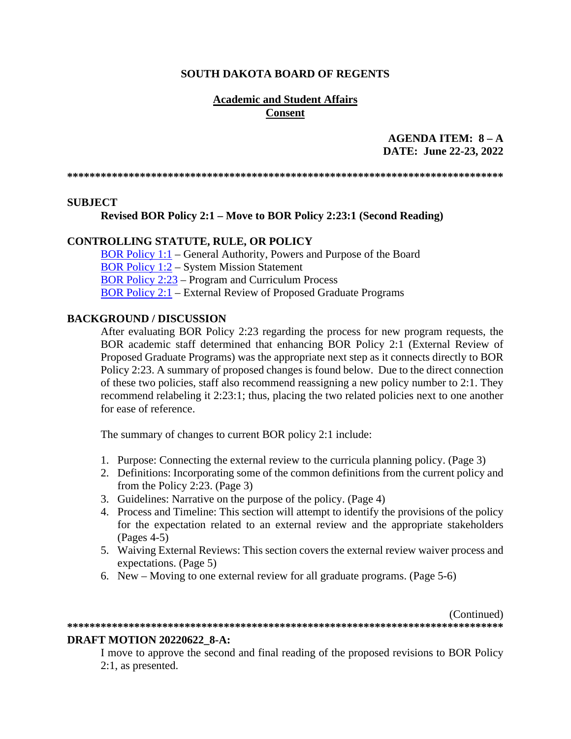#### **SOUTH DAKOTA BOARD OF REGENTS**

### **Academic and Student Affairs Consent**

# AGENDA ITEM:  $8 - A$ DATE: June 22-23, 2022

#### **SUBJECT**

#### Revised BOR Policy 2:1 – Move to BOR Policy 2:23:1 (Second Reading)

#### **CONTROLLING STATUTE, RULE, OR POLICY**

**BOR Policy 1:1** – General Authority, Powers and Purpose of the Board **BOR Policy 1:2 – System Mission Statement BOR Policy 2:23 – Program and Curriculum Process BOR Policy 2:1 – External Review of Proposed Graduate Programs** 

#### **BACKGROUND / DISCUSSION**

After evaluating BOR Policy 2:23 regarding the process for new program requests, the BOR academic staff determined that enhancing BOR Policy 2:1 (External Review of Proposed Graduate Programs) was the appropriate next step as it connects directly to BOR Policy 2:23. A summary of proposed changes is found below. Due to the direct connection of these two policies, staff also recommend reassigning a new policy number to 2:1. They recommend relabeling it 2:23:1; thus, placing the two related policies next to one another for ease of reference.

The summary of changes to current BOR policy 2:1 include:

- 1. Purpose: Connecting the external review to the curricula planning policy. (Page 3)
- 2. Definitions: Incorporating some of the common definitions from the current policy and from the Policy 2:23. (Page 3)
- 3. Guidelines: Narrative on the purpose of the policy. (Page 4)
- 4. Process and Timeline: This section will attempt to identify the provisions of the policy for the expectation related to an external review and the appropriate stakeholders  $(Pages 4-5)$
- 5. Waiving External Reviews: This section covers the external review waiver process and expectations. (Page 5)
- 6. New Moving to one external review for all graduate programs. (Page 5-6)

(Continued)

# 

#### **DRAFT MOTION 20220622 8-A:**

I move to approve the second and final reading of the proposed revisions to BOR Policy  $2:1$ , as presented.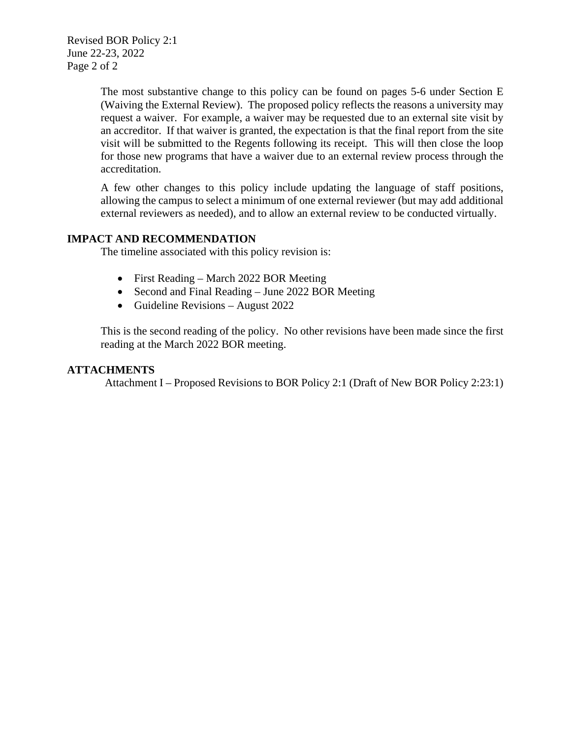Revised BOR Policy 2:1 June 22-23, 2022 Page 2 of 2

> The most substantive change to this policy can be found on pages 5-6 under Section E (Waiving the External Review). The proposed policy reflects the reasons a university may request a waiver. For example, a waiver may be requested due to an external site visit by an accreditor. If that waiver is granted, the expectation is that the final report from the site visit will be submitted to the Regents following its receipt. This will then close the loop for those new programs that have a waiver due to an external review process through the accreditation.

> A few other changes to this policy include updating the language of staff positions, allowing the campus to select a minimum of one external reviewer (but may add additional external reviewers as needed), and to allow an external review to be conducted virtually.

### **IMPACT AND RECOMMENDATION**

The timeline associated with this policy revision is:

- First Reading March 2022 BOR Meeting
- Second and Final Reading June 2022 BOR Meeting
- Guideline Revisions August 2022

This is the second reading of the policy. No other revisions have been made since the first reading at the March 2022 BOR meeting.

#### **ATTACHMENTS**

Attachment I – Proposed Revisions to BOR Policy 2:1 (Draft of New BOR Policy 2:23:1)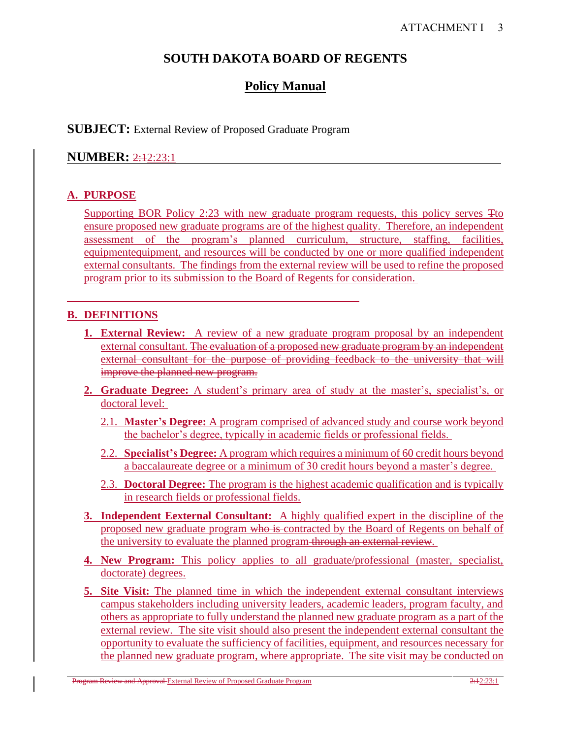# **SOUTH DAKOTA BOARD OF REGENTS**

# **Policy Manual**

### **SUBJECT:** External Review of Proposed Graduate Program

# **NUMBER: 2:42:23:1**

# **A. PURPOSE**

Supporting BOR Policy 2:23 with new graduate program requests, this policy serves Tto ensure proposed new graduate programs are of the highest quality. Therefore, an independent assessment of the program's planned curriculum, structure, staffing, facilities, equipmentequipment, and resources will be conducted by one or more qualified independent external consultants. The findings from the external review will be used to refine the proposed program prior to its submission to the Board of Regents for consideration.

# **B. DEFINITIONS**

- **1. External Review:** A review of a new graduate program proposal by an independent external consultant. The evaluation of a proposed new graduate program by an independent external consultant for the purpose of providing feedback to the university that will improve the planned new program.
- **2. Graduate Degree:** A student's primary area of study at the master's, specialist's, or doctoral level:
	- 2.1. **Master's Degree:** A program comprised of advanced study and course work beyond the bachelor's degree, typically in academic fields or professional fields.
	- 2.2. **Specialist's Degree:** A program which requires a minimum of 60 credit hours beyond a baccalaureate degree or a minimum of 30 credit hours beyond a master's degree.
	- 2.3. **Doctoral Degree:** The program is the highest academic qualification and is typically in research fields or professional fields.
- **3. Independent Eexternal Consultant:** A highly qualified expert in the discipline of the proposed new graduate program who is contracted by the Board of Regents on behalf of the university to evaluate the planned program through an external review.
- **4. New Program:** This policy applies to all graduate/professional (master, specialist, doctorate) degrees.
- **5. Site Visit:** The planned time in which the independent external consultant interviews campus stakeholders including university leaders, academic leaders, program faculty, and others as appropriate to fully understand the planned new graduate program as a part of the external review. The site visit should also present the independent external consultant the opportunity to evaluate the sufficiency of facilities, equipment, and resources necessary for the planned new graduate program, where appropriate. The site visit may be conducted on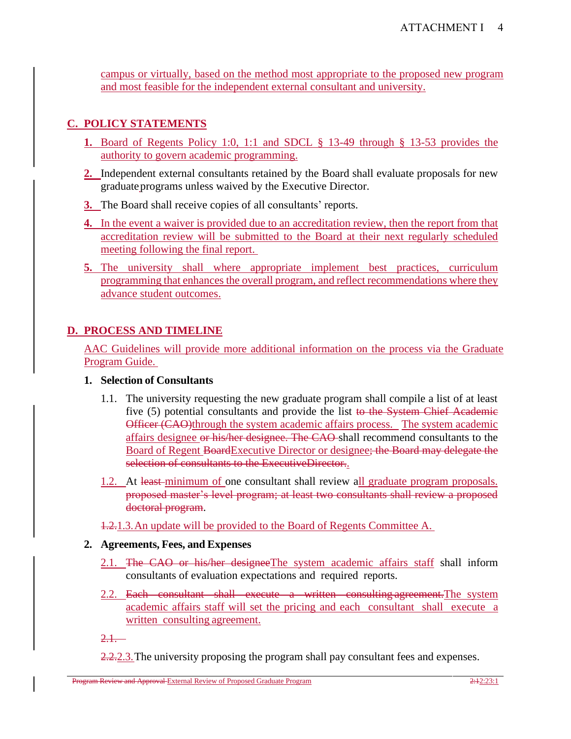campus or virtually, based on the method most appropriate to the proposed new program and most feasible for the independent external consultant and university.

# **C. POLICY STATEMENTS**

- **1.** Board of Regents Policy 1:0, 1:1 and SDCL § 13-49 through § 13-53 provides the authority to govern academic programming.
- **2.** Independent external consultants retained by the Board shall evaluate proposals for new graduate programs unless waived by the Executive Director.
- **3.** The Board shall receive copies of all consultants' reports.
- **4.** In the event a waiver is provided due to an accreditation review, then the report from that accreditation review will be submitted to the Board at their next regularly scheduled meeting following the final report.
- **5.** The university shall where appropriate implement best practices, curriculum programming that enhances the overall program, and reflect recommendations where they advance student outcomes.

# **D. PROCESS AND TIMELINE**

AAC Guidelines will provide more additional information on the process via the Graduate Program Guide.

#### **1. Selection of Consultants**

- 1.1. The university requesting the new graduate program shall compile a list of at least five (5) potential consultants and provide the list to the System Chief Academic Officer (CAO)through the system academic affairs process. The system academic affairs designee or his/her designee. The CAO shall recommend consultants to the Board of Regent BoardExecutive Director or designee; the Board may delegate the selection of consultants to the ExecutiveDirector..
- 1.2. At least minimum of one consultant shall review all graduate program proposals. proposed master's level program; at least two consultants shall review a proposed doctoral program.
- 1.2.1.3.An update will be provided to the Board of Regents Committee A.

#### **2. Agreements, Fees, and Expenses**

- 2.1. The CAO or his/her designeeThe system academic affairs staff shall inform consultants of evaluation expectations and required reports.
- 2.2. Each consultant shall execute a written consulting agreement. The system academic affairs staff will set the pricing and each consultant shall execute a written consulting agreement.

 $2.1$ .

2.2.2.3. The university proposing the program shall pay consultant fees and expenses.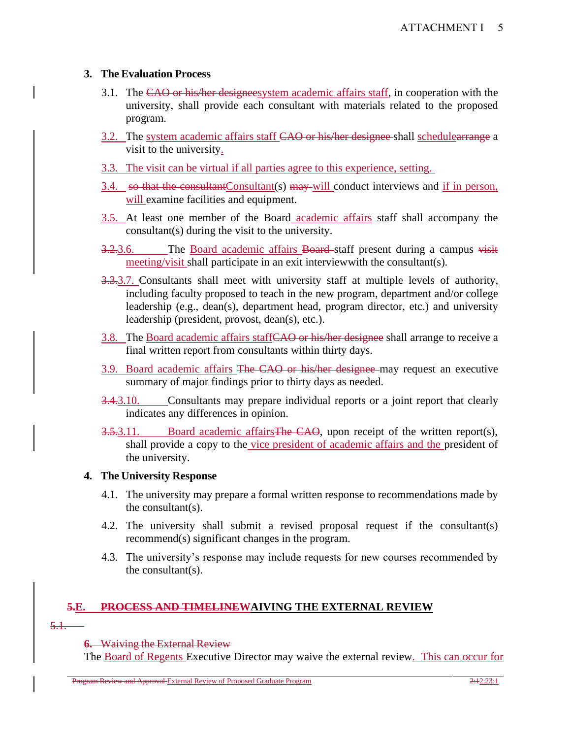# **3. The Evaluation Process**

- 3.1. The CAO or his/her designeesystem academic affairs staff, in cooperation with the university, shall provide each consultant with materials related to the proposed program.
- 3.2. The system academic affairs staff CAO or his/her designee shall schedulearrange a visit to the university.
- 3.3. The visit can be virtual if all parties agree to this experience, setting.
- $3.4.$  so that the consultant Consultant  $(s)$  may will conduct interviews and if in person, will examine facilities and equipment.
- 3.5. At least one member of the Board academic affairs staff shall accompany the consultant(s) during the visit to the university.
- 3.2.3.6. The Board academic affairs Board staff present during a campus visit meeting/visit shall participate in an exit interviewwith the consultant(s).
- 3.3.3.7. Consultants shall meet with university staff at multiple levels of authority, including faculty proposed to teach in the new program, department and/or college leadership (e.g., dean(s), department head, program director, etc.) and university leadership (president, provost, dean(s), etc.).
- 3.8. The Board academic affairs staffCAO or his/her designee shall arrange to receive a final written report from consultants within thirty days.
- 3.9. Board academic affairs The CAO or his/her designee may request an executive summary of major findings prior to thirty days as needed.
- 3.4.3.10. Consultants may prepare individual reports or a joint report that clearly indicates any differences in opinion.
- 3.5.3.11. Board academic affairs The CAO, upon receipt of the written report(s), shall provide a copy to the vice president of academic affairs and the president of the university.

# **4. The University Response**

- 4.1. The university may prepare a formal written response to recommendations made by the consultant(s).
- 4.2. The university shall submit a revised proposal request if the consultant(s) recommend(s) significant changes in the program.
- 4.3. The university's response may include requests for new courses recommended by the consultant(s).

# **5.E. PROCESS AND TIMELINEWAIVING THE EXTERNAL REVIEW**

5.1.

**6.** Waiving the External Review

The Board of Regents Executive Director may waive the external review. This can occur for